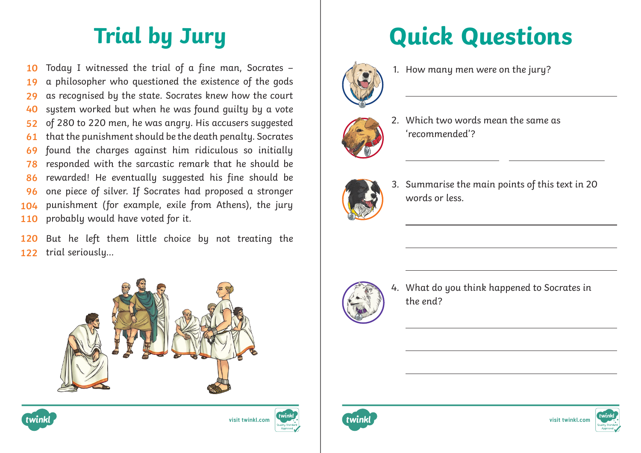Today I witnessed the trial of a fine man, Socrates – a philosopher who questioned the existence of the gods as recognised by the state. Socrates knew how the court system worked but when he was found guilty by a vote of 280 to 220 men, he was angry. His accusers suggested that the punishment should be the death penalty. Socrates found the charges against him ridiculous so initially responded with the sarcastic remark that he should be rewarded! He eventually suggested his fine should be one piece of silver. If Socrates had proposed a stronger punishment (for example, exile from Athens), the jury probably would have voted for it. **10 19 29 40 52 61 69 78 86 96 104 110**

But he left them little choice by not treating the trial seriously… **120 122**







## **Trial by Jury Quick Questions**



1. How many men were on the jury?



 $\overline{a}$ 

2. Which two words mean the same as 'recommended'?



3. Summarise the main points of this text in 20 words or less.



4. What do you think happened to Socrates in the end?